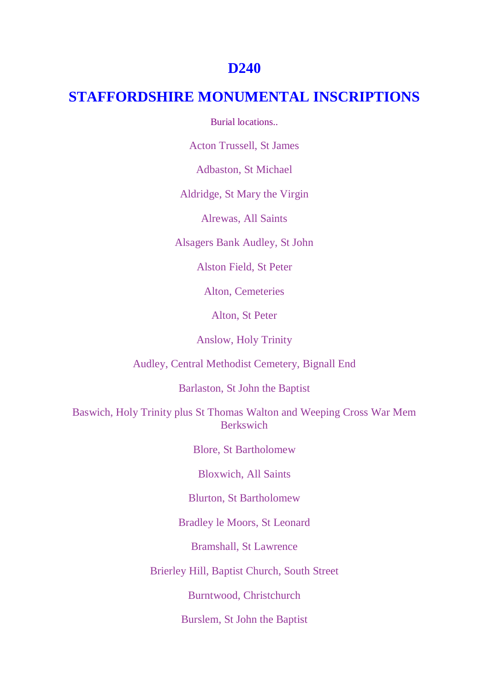## **D240**

## **STAFFORDSHIRE MONUMENTAL INSCRIPTIONS**

Burial locations..

Acton Trussell, St James

Adbaston, St Michael

Aldridge, St Mary the Virgin

Alrewas, All Saints

Alsagers Bank Audley, St John

Alston Field, St Peter

Alton, Cemeteries

Alton, St Peter

Anslow, Holy Trinity

Audley, Central Methodist Cemetery, Bignall End

Barlaston, St John the Baptist

Baswich, Holy Trinity plus St Thomas Walton and Weeping Cross War Mem Berkswich

Blore, St Bartholomew

Bloxwich, All Saints

Blurton, St Bartholomew

Bradley le Moors, St Leonard

Bramshall, St Lawrence

Brierley Hill, Baptist Church, South Street

Burntwood, Christchurch

Burslem, St John the Baptist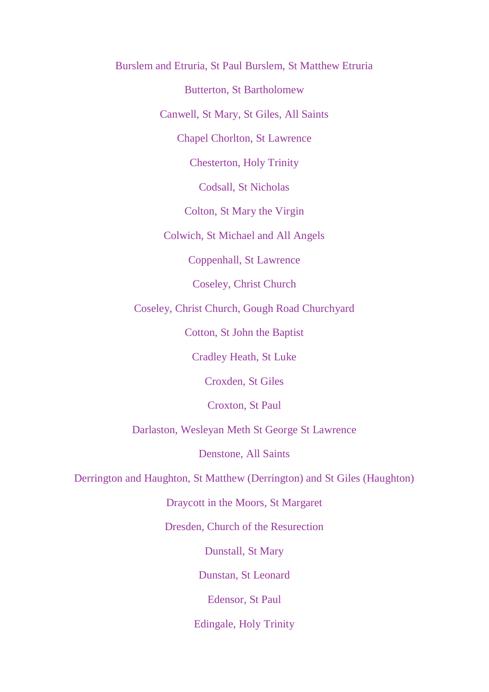Burslem and Etruria, St Paul Burslem, St Matthew Etruria Butterton, St Bartholomew Canwell, St Mary, St Giles, All Saints Chapel Chorlton, St Lawrence Chesterton, Holy Trinity Codsall, St Nicholas Colton, St Mary the Virgin Colwich, St Michael and All Angels Coppenhall, St Lawrence Coseley, Christ Church Coseley, Christ Church, Gough Road Churchyard Cotton, St John the Baptist Cradley Heath, St Luke Croxden, St Giles Croxton, St Paul Darlaston, Wesleyan Meth St George St Lawrence Denstone, All Saints Derrington and Haughton, St Matthew (Derrington) and St Giles (Haughton) Draycott in the Moors, St Margaret Dresden, Church of the Resurection Dunstall, St Mary

Dunstan, St Leonard

Edensor, St Paul

Edingale, Holy Trinity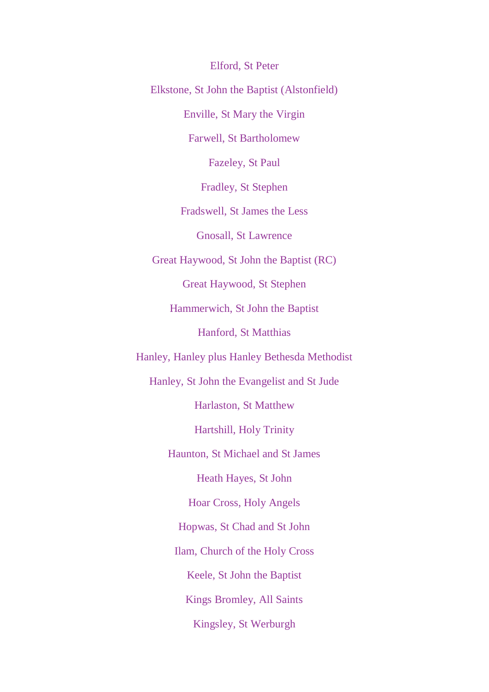Elford, St Peter Elkstone, St John the Baptist (Alstonfield) Enville, St Mary the Virgin Farwell, St Bartholomew Fazeley, St Paul Fradley, St Stephen Fradswell, St James the Less Gnosall, St Lawrence Great Haywood, St John the Baptist (RC) Great Haywood, St Stephen Hammerwich, St John the Baptist Hanford, St Matthias Hanley, Hanley plus Hanley Bethesda Methodist Hanley, St John the Evangelist and St Jude Harlaston, St Matthew Hartshill, Holy Trinity Haunton, St Michael and St James Heath Hayes, St John Hoar Cross, Holy Angels Hopwas, St Chad and St John Ilam, Church of the Holy Cross Keele, St John the Baptist Kings Bromley, All Saints Kingsley, St Werburgh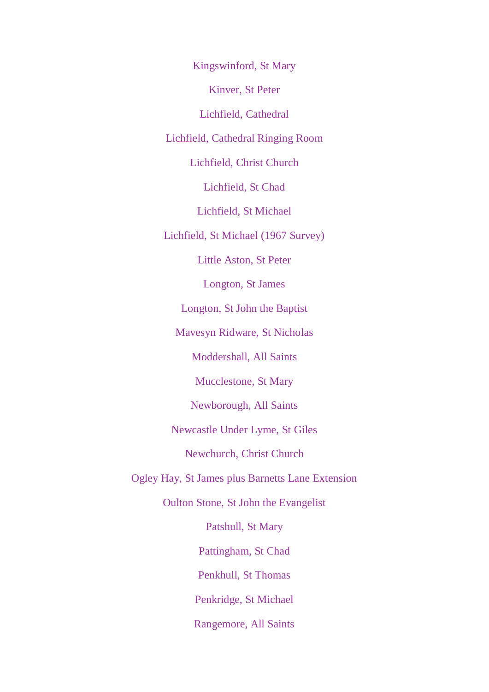Kingswinford, St Mary

Kinver, St Peter

Lichfield, Cathedral

Lichfield, Cathedral Ringing Room

Lichfield, Christ Church

Lichfield, St Chad

Lichfield, St Michael

Lichfield, St Michael (1967 Survey)

Little Aston, St Peter

Longton, St James

Longton, St John the Baptist

Mavesyn Ridware, St Nicholas

Moddershall, All Saints

Mucclestone, St Mary

Newborough, All Saints

Newcastle Under Lyme, St Giles

Newchurch, Christ Church

Ogley Hay, St James plus Barnetts Lane Extension

Oulton Stone, St John the Evangelist

Patshull, St Mary

Pattingham, St Chad

Penkhull, St Thomas

Penkridge, St Michael

Rangemore, All Saints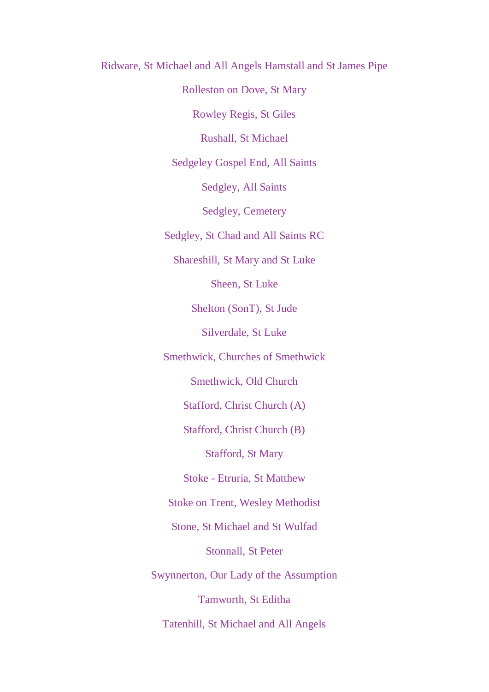Ridware, St Michael and All Angels Hamstall and St James Pipe Rolleston on Dove, St Mary Rowley Regis, St Giles Rushall, St Michael Sedgeley Gospel End, All Saints Sedgley, All Saints Sedgley, Cemetery Sedgley, St Chad and All Saints RC Shareshill, St Mary and St Luke Sheen, St Luke Shelton (SonT), St Jude Silverdale, St Luke Smethwick, Churches of Smethwick Smethwick, Old Church Stafford, Christ Church (A) Stafford, Christ Church (B) Stafford, St Mary Stoke - Etruria, St Matthew Stoke on Trent, Wesley Methodist Stone, St Michael and St Wulfad Stonnall, St Peter Swynnerton, Our Lady of the Assumption Tamworth, St Editha Tatenhill, St Michael and All Angels